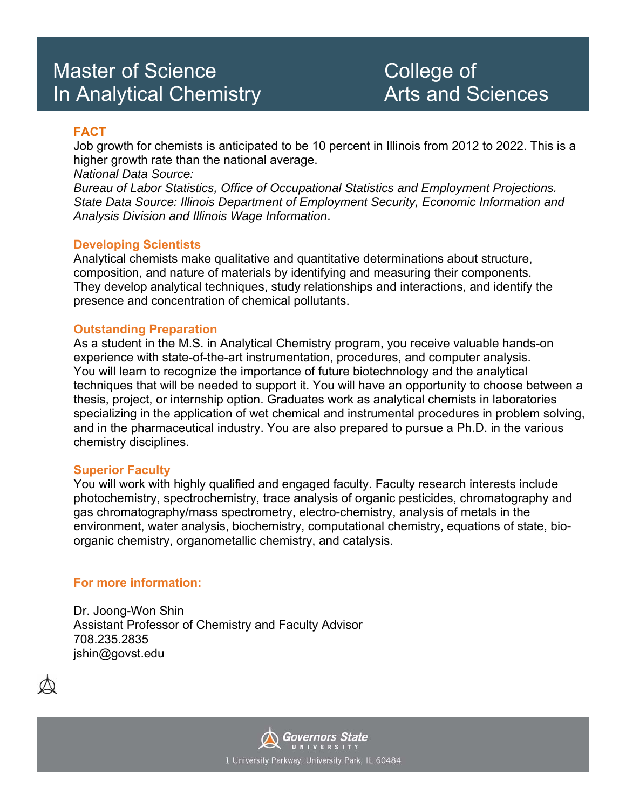## Master of Science **College of** In Analytical Chemistry **Arts** and Sciences

#### **FACT**

Job growth for chemists is anticipated to be 10 percent in Illinois from 2012 to 2022. This is a higher growth rate than the national average.

*National Data Source:* 

*Bureau of Labor Statistics, Office of Occupational Statistics and Employment Projections. State Data Source: Illinois Department of Employment Security, Economic Information and Analysis Division and Illinois Wage Information*.

#### **Developing Scientists**

Analytical chemists make qualitative and quantitative determinations about structure, composition, and nature of materials by identifying and measuring their components. They develop analytical techniques, study relationships and interactions, and identify the presence and concentration of chemical pollutants.

#### **Outstanding Preparation**

As a student in the M.S. in Analytical Chemistry program, you receive valuable hands-on experience with state-of-the-art instrumentation, procedures, and computer analysis. You will learn to recognize the importance of future biotechnology and the analytical techniques that will be needed to support it. You will have an opportunity to choose between a thesis, project, or internship option. Graduates work as analytical chemists in laboratories specializing in the application of wet chemical and instrumental procedures in problem solving, and in the pharmaceutical industry. You are also prepared to pursue a Ph.D. in the various chemistry disciplines.

#### **Superior Faculty**

You will work with highly qualified and engaged faculty. Faculty research interests include photochemistry, spectrochemistry, trace analysis of organic pesticides, chromatography and gas chromatography/mass spectrometry, electro-chemistry, analysis of metals in the environment, water analysis, biochemistry, computational chemistry, equations of state, bioorganic chemistry, organometallic chemistry, and catalysis.

#### **For more information:**

Dr. Joong-Won Shin Assistant Professor of Chemistry and Faculty Advisor 708.235.2835 jshin@govst.edu



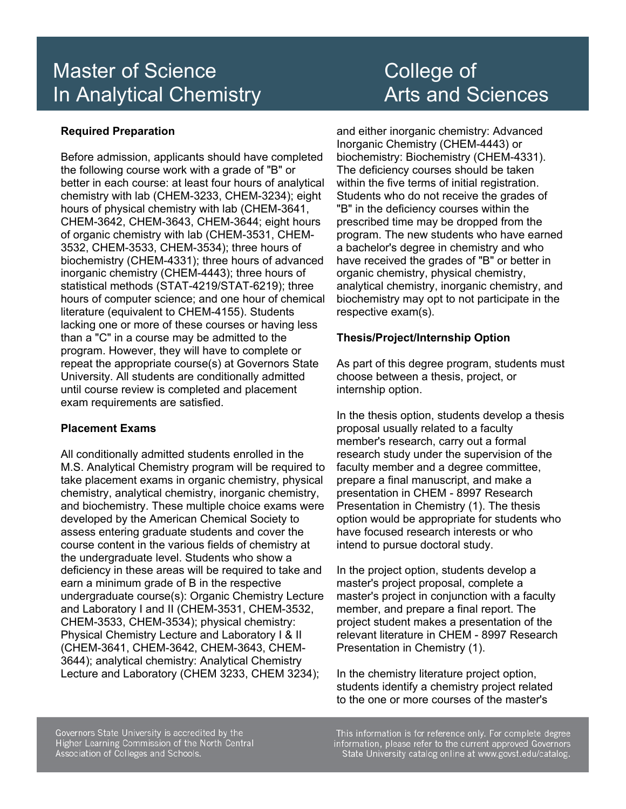## Master of Science **College of** In Analytical Chemistry **Arts and Sciences**

#### **Required Preparation**

Before admission, applicants should have completed the following course work with a grade of "B" or better in each course: at least four hours of analytical chemistry with lab (CHEM-3233, CHEM-3234); eight hours of physical chemistry with lab (CHEM-3641, CHEM-3642, CHEM-3643, CHEM-3644; eight hours of organic chemistry with lab (CHEM-3531, CHEM-3532, CHEM-3533, CHEM-3534); three hours of biochemistry (CHEM-4331); three hours of advanced inorganic chemistry (CHEM-4443); three hours of statistical methods (STAT-4219/STAT-6219); three hours of computer science; and one hour of chemical literature (equivalent to CHEM-4155). Students lacking one or more of these courses or having less than a "C" in a course may be admitted to the program. However, they will have to complete or repeat the appropriate course(s) at Governors State University. All students are conditionally admitted until course review is completed and placement exam requirements are satisfied.

#### **Placement Exams**

All conditionally admitted students enrolled in the M.S. Analytical Chemistry program will be required to take placement exams in organic chemistry, physical chemistry, analytical chemistry, inorganic chemistry, and biochemistry. These multiple choice exams were developed by the American Chemical Society to assess entering graduate students and cover the course content in the various fields of chemistry at the undergraduate level. Students who show a deficiency in these areas will be required to take and earn a minimum grade of B in the respective undergraduate course(s): Organic Chemistry Lecture and Laboratory I and II (CHEM-3531, CHEM-3532, CHEM-3533, CHEM-3534); physical chemistry: Physical Chemistry Lecture and Laboratory I & II (CHEM-3641, CHEM-3642, CHEM-3643, CHEM-3644); analytical chemistry: Analytical Chemistry Lecture and Laboratory (CHEM 3233, CHEM 3234);

# and either inorganic chemistry: Advanced

Inorganic Chemistry (CHEM-4443) or biochemistry: Biochemistry (CHEM-4331). The deficiency courses should be taken within the five terms of initial registration. Students who do not receive the grades of "B" in the deficiency courses within the prescribed time may be dropped from the program. The new students who have earned a bachelor's degree in chemistry and who have received the grades of "B" or better in organic chemistry, physical chemistry, analytical chemistry, inorganic chemistry, and biochemistry may opt to not participate in the respective exam(s).

#### **Thesis/Project/Internship Option**

As part of this degree program, students must choose between a thesis, project, or internship option.

In the thesis option, students develop a thesis proposal usually related to a faculty member's research, carry out a formal research study under the supervision of the faculty member and a degree committee, prepare a final manuscript, and make a presentation in CHEM - 8997 Research Presentation in Chemistry (1). The thesis option would be appropriate for students who have focused research interests or who intend to pursue doctoral study.

In the project option, students develop a master's project proposal, complete a master's project in conjunction with a faculty member, and prepare a final report. The project student makes a presentation of the relevant literature in CHEM - 8997 Research Presentation in Chemistry (1).

In the chemistry literature project option, students identify a chemistry project related to the one or more courses of the master's

Governors State University is accredited by the Higher Learning Commission of the North Central Association of Colleges and Schools.

This information is for reference only. For complete degree information, please refer to the current approved Governors<br>State University catalog online at www.govst.edu/catalog.